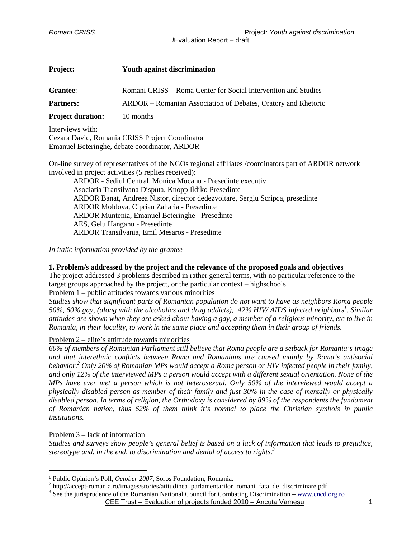| <b>Project:</b>                               | <b>Youth against discrimination</b>                            |
|-----------------------------------------------|----------------------------------------------------------------|
| Grantee:                                      | Romani CRISS – Roma Center for Social Intervention and Studies |
| <b>Partners:</b>                              | ARDOR – Romanian Association of Debates, Oratory and Rhetoric  |
| <b>Project duration:</b>                      | 10 months                                                      |
| Interviews with:                              | Cezara David, Romania CRISS Project Coordinator                |
| Emanuel Beteringhe, debate coordinator, ARDOR |                                                                |

On-line survey of representatives of the NGOs regional affiliates /coordinators part of ARDOR network involved in project activities (5 replies received):

ARDOR - Sediul Central, Monica Mocanu - Presedinte executiv Asociatia Transilvana Disputa, Knopp Ildiko Presedinte ARDOR Banat, Andreea Nistor, director dedezvoltare, Sergiu Scripca, presedinte ARDOR Moldova, Ciprian Zaharia - Presedinte ARDOR Muntenia, Emanuel Beteringhe - Presedinte AES, Gelu Hanganu - Presedinte ARDOR Transilvania, Emil Mesaros - Presedinte

#### *In italic information provided by the grantee*

### **1. Problem/s addressed by the project and the relevance of the proposed goals and objectives**

The project addressed 3 problems described in rather general terms, with no particular reference to the target groups approached by the project, or the particular context – highschools.

## Problem 1 – public attitudes towards various minorities

*Studies show that significant parts of Romanian population do not want to have as neighbors Roma people 50%, 60% gay, (along with the alcoholics and drug addicts), 42% HIV/ AIDS infected neighbors<sup>1</sup> . Similar attitudes are shown when they are asked about having a gay, a member of a religious minority, etc to live in Romania, in their locality, to work in the same place and accepting them in their group of friends.* 

#### Problem 2 – elite's attittude towards minorities

*60% of members of Romanian Parliament still believe that Roma people are a setback for Romania's image and that interethnic conflicts between Roma and Romanians are caused mainly by Roma's antisocial behavior.<sup>2</sup> Only 20% of Romanian MPs would accept a Roma person or HIV infected people in their family, and only 12% of the interviewed MPs a person would accept with a different sexual orientation. None of the MPs have ever met a person which is not heterosexual. Only 50% of the interviewed would accept a physically disabled person as member of their family and just 30% in the case of mentally or physically disabled person. In terms of religion, the Orthodoxy is considered by 89% of the respondents the fundament of Romanian nation, thus 62% of them think it's normal to place the Christian symbols in public institutions.* 

### Problem 3 – lack of information

l

*Studies and surveys show people's general belief is based on a lack of information that leads to prejudice, stereotype and, in the end, to discrimination and denial of access to rights.<sup>3</sup>*

<sup>2</sup> http://accept-romania.ro/images/stories/atitudinea\_parlamentarilor\_romani\_fata\_de\_discriminare.pdf

CEE Trust – Evaluation of projects funded 2010 – Ancuta Vamesu 1 <sup>3</sup> See the jurisprudence of the Romanian National Council for Combating Discrimination – www.cncd.org.ro

<sup>1</sup> Public Opinion's Poll, *October 2007*, Soros Foundation, Romania.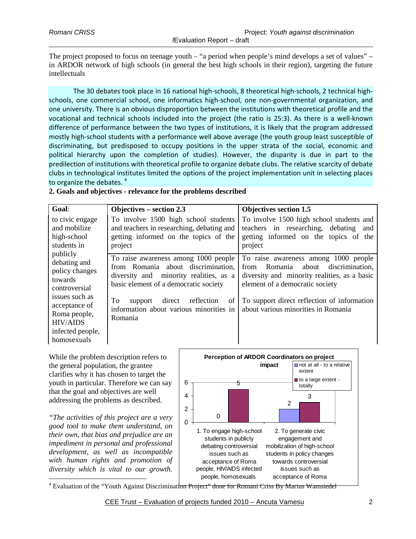The project proposed to focus on teenage youth – "a period when people's mind develops a set of values" – in ARDOR network of high schools (in general the best high schools in their region), targeting the future intellectuals

The 30 debates took place in 16 national high-schools, 8 theoretical high-schools, 2 technical highschools, one commercial school, one informatics high-school, one non-governmental organization, and one university. There is an obvious disproportion between the institutions with theoretical profile and the vocational and technical schools included into the project (the ratio is 25:3). As there is a well-known difference of performance between the two types of institutions, it is likely that the program addressed mostly high-school students with a performance well above average (the youth group least susceptible of discriminating, but predisposed to occupy positions in the upper strata of the social, economic and political hierarchy upon the completion of studies). However, the disparity is due in part to the predilection of institutions with theoretical profile to organize debate clubs. The relative scarcity of debate clubs in technological institutes limited the options of the project implementation unit in selecting places to organize the debates.<sup>4</sup>

### **2. Goals and objectives - relevance for the problems described**

| Goal:                                                                                                                                                                           | Objectives $-$ section 2.3                                                                                                                                                                                                                                         | <b>Objectives section 1.5</b>                                                                                                                                                                                                                          |
|---------------------------------------------------------------------------------------------------------------------------------------------------------------------------------|--------------------------------------------------------------------------------------------------------------------------------------------------------------------------------------------------------------------------------------------------------------------|--------------------------------------------------------------------------------------------------------------------------------------------------------------------------------------------------------------------------------------------------------|
| to civic engage<br>and mobilize<br>high-school<br>students in                                                                                                                   | To involve 1500 high school students<br>and teachers in researching, debating and<br>getting informed on the topics of the<br>project                                                                                                                              | To involve 1500 high school students and<br>teachers in researching, debating and<br>getting informed on the topics of the<br>project                                                                                                                  |
| publicly<br>debating and<br>policy changes<br>towards<br>controversial<br>issues such as<br>acceptance of<br>Roma people,<br><b>HIV/AIDS</b><br>infected people,<br>homosexuals | To raise awareness among 1000 people<br>from Romania about discrimination,<br>diversity and minority realities, as a<br>basic element of a democratic society<br>To<br>direct<br>reflection<br>support<br>of<br>information about various minorities in<br>Romania | To raise awareness among 1000 people<br>Romania about discrimination,<br>from<br>diversity and minority realities, as a basic<br>element of a democratic society<br>To support direct reflection of information<br>about various minorities in Romania |

While the problem description refers to the general population, the grantee clarifies why it has chosen to target the youth in particular. Therefore we can say that the goal and objectives are well addressing the problems as described.

*"The activities of this project are a very good tool to make them understand, on their own, that bias and prejudice are an impediment in personal and professional development, as well as incompatible with human rights and promotion of diversity which is vital to our growth.*   $\overline{a}$ 



<sup>4</sup> Evaluation of the "Youth Against Discrimination Project" done for Romani Criss By Marius Wamsiedel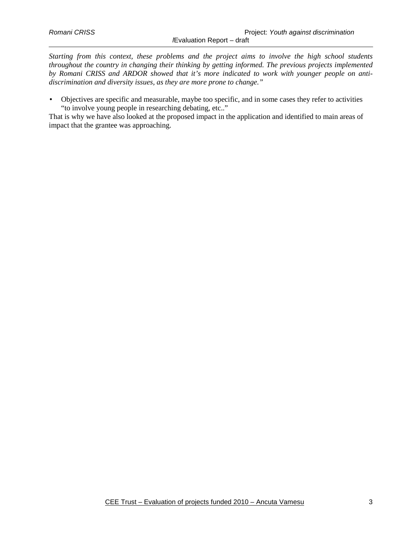*Starting from this context, these problems and the project aims to involve the high school students throughout the country in changing their thinking by getting informed. The previous projects implemented by Romani CRISS and ARDOR showed that it's more indicated to work with younger people on antidiscrimination and diversity issues, as they are more prone to change."* 

• Objectives are specific and measurable, maybe too specific, and in some cases they refer to activities "to involve young people in researching debating, etc.."

That is why we have also looked at the proposed impact in the application and identified to main areas of impact that the grantee was approaching.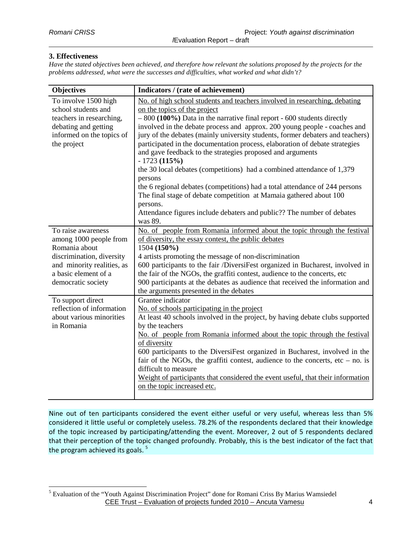## **3. Effectiveness**

 $\overline{a}$ 

*Have the stated objectives been achieved, and therefore how relevant the solutions proposed by the projects for the problems addressed, what were the successes and difficulties, what worked and what didn't?* 

| <b>Objectives</b>                                                                                                                                                      | Indicators / (rate of achievement)                                                                                                                                                                                                                                                                                                                                                                                                                                                                                                                                                                                                                                                                                                                                                                                                                             |
|------------------------------------------------------------------------------------------------------------------------------------------------------------------------|----------------------------------------------------------------------------------------------------------------------------------------------------------------------------------------------------------------------------------------------------------------------------------------------------------------------------------------------------------------------------------------------------------------------------------------------------------------------------------------------------------------------------------------------------------------------------------------------------------------------------------------------------------------------------------------------------------------------------------------------------------------------------------------------------------------------------------------------------------------|
| To involve 1500 high<br>school students and<br>teachers in researching,<br>debating and getting<br>informed on the topics of<br>the project                            | No. of high school students and teachers involved in researching, debating<br>on the topics of the project<br>$-800$ (100%) Data in the narrative final report - 600 students directly<br>involved in the debate process and approx. 200 young people - coaches and<br>jury of the debates (mainly university students, former debaters and teachers)<br>participated in the documentation process, elaboration of debate strategies<br>and gave feedback to the strategies proposed and arguments<br>$-1723(115%)$<br>the 30 local debates (competitions) had a combined attendance of 1,379<br>persons<br>the 6 regional debates (competitions) had a total attendance of 244 persons<br>The final stage of debate competition at Mamaia gathered about 100<br>persons.<br>Attendance figures include debaters and public?? The number of debates<br>was 89. |
| To raise awareness<br>among 1000 people from<br>Romania about<br>discrimination, diversity<br>and minority realities, as<br>a basic element of a<br>democratic society | No. of people from Romania informed about the topic through the festival<br>of diversity, the essay contest, the public debates<br>1504 (150%)<br>4 artists promoting the message of non-discrimination<br>600 participants to the fair /DiversiFest organized in Bucharest, involved in<br>the fair of the NGOs, the graffiti contest, audience to the concerts, etc<br>900 participants at the debates as audience that received the information and<br>the arguments presented in the debates                                                                                                                                                                                                                                                                                                                                                               |
| To support direct<br>reflection of information<br>about various minorities<br>in Romania                                                                               | Grantee indicator<br>No. of schools participating in the project<br>At least 40 schools involved in the project, by having debate clubs supported<br>by the teachers<br>No. of people from Romania informed about the topic through the festival<br>of diversity<br>600 participants to the DiversiFest organized in Bucharest, involved in the<br>fair of the NGOs, the graffiti contest, audience to the concerts, etc $-$ no. is<br>difficult to measure<br>Weight of participants that considered the event useful, that their information<br>on the topic increased etc.                                                                                                                                                                                                                                                                                  |

Nine out of ten participants considered the event either useful or very useful, whereas less than 5% considered it little useful or completely useless. 78.2% of the respondents declared that their knowledge of the topic increased by participating/attending the event. Moreover, 2 out of 5 respondents declared that their perception of the topic changed profoundly. Probably, this is the best indicator of the fact that the program achieved its goals.  $5$ 

CEE Trust – Evaluation of projects funded 2010 – Ancuta Vamesu 4 <sup>5</sup> Evaluation of the "Youth Against Discrimination Project" done for Romani Criss By Marius Wamsiedel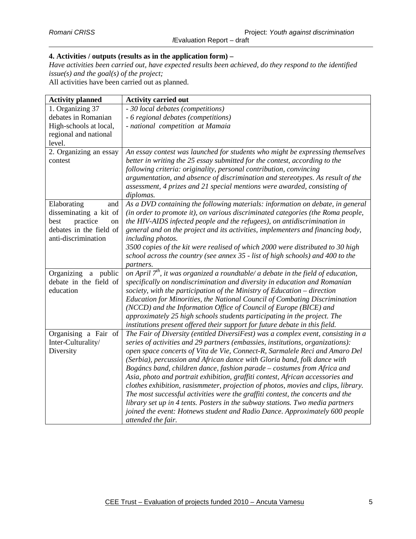# **4. Activities / outputs (results as in the application form) –**

*Have activities been carried out, have expected results been achieved, do they respond to the identified issue(s) and the goal(s) of the project;* 

All activities have been carried out as planned.

| <b>Activity planned</b> | <b>Activity carried out</b>                                                         |
|-------------------------|-------------------------------------------------------------------------------------|
| 1. Organizing 37        | - 30 local debates (competitions)                                                   |
| debates in Romanian     | - 6 regional debates (competitions)                                                 |
| High-schools at local,  | - national competition at Mamaia                                                    |
| regional and national   |                                                                                     |
| level.                  |                                                                                     |
| 2. Organizing an essay  | An essay contest was launched for students who might be expressing themselves       |
| contest                 | better in writing the 25 essay submitted for the contest, according to the          |
|                         | following criteria: originality, personal contribution, convincing                  |
|                         | argumentation, and absence of discrimination and stereotypes. As result of the      |
|                         | assessment, 4 prizes and 21 special mentions were awarded, consisting of            |
|                         | diplomas.                                                                           |
| Elaborating<br>and      | As a DVD containing the following materials: information on debate, in general      |
| disseminating a kit of  | (in order to promote it), on various discriminated categories (the Roma people,     |
| practice<br>best<br>on  | the HIV-AIDS infected people and the refugees), on antidiscrimination in            |
| debates in the field of | general and on the project and its activities, implementers and financing body,     |
| anti-discrimination     | including photos.                                                                   |
|                         | 3500 copies of the kit were realised of which 2000 were distributed to 30 high      |
|                         | school across the country (see annex 35 - list of high schools) and 400 to the      |
|                         | partners.                                                                           |
| Organizing a public     | on April $7th$ , it was organized a roundtable/ a debate in the field of education, |
| debate in the field of  | specifically on nondiscrimination and diversity in education and Romanian           |
| education               | society, with the participation of the Ministry of Education - direction            |
|                         | Education for Minorities, the National Council of Combating Discrimination          |
|                         | (NCCD) and the Information Office of Council of Europe (BICE) and                   |
|                         | approximately 25 high schools students participating in the project. The            |
|                         | institutions present offered their support for future debate in this field.         |
| Organising a Fair of    | The Fair of Diversity (entitled DiversiFest) was a complex event, consisting in a   |
| Inter-Culturality/      | series of activities and 29 partners (embassies, institutions, organizations):      |
| Diversity               | open space concerts of Vita de Vie, Connect-R, Sarmalele Reci and Amaro Del         |
|                         | (Serbia), percussion and African dance with Gloria band, folk dance with            |
|                         | Bogáncs band, children dance, fashion parade – costumes from Africa and             |
|                         | Asia, photo and portrait exhibition, graffiti contest, African accessories and      |
|                         | clothes exhibition, rasismmeter, projection of photos, movies and clips, library.   |
|                         | The most successful activities were the graffiti contest, the concerts and the      |
|                         | library set up in 4 tents. Posters in the subway stations. Two media partners       |
|                         | joined the event: Hotnews student and Radio Dance. Approximately 600 people         |
|                         | attended the fair.                                                                  |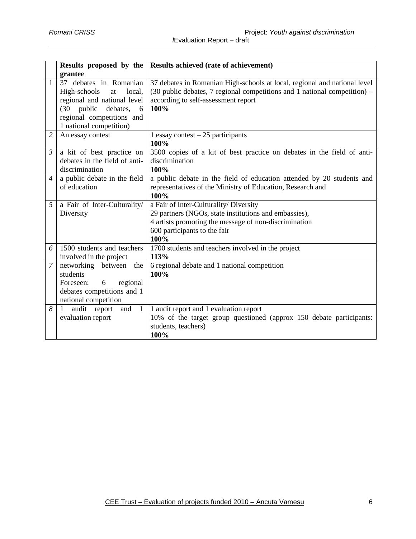|                | Results proposed by the                                                                                                                                                          | Results achieved (rate of achievement)                                                                                                                                                                                          |
|----------------|----------------------------------------------------------------------------------------------------------------------------------------------------------------------------------|---------------------------------------------------------------------------------------------------------------------------------------------------------------------------------------------------------------------------------|
|                | grantee                                                                                                                                                                          |                                                                                                                                                                                                                                 |
| $\mathbf{1}$   | 37 debates in Romanian<br>local,<br>High-schools<br>at<br>regional and national level<br>public<br>debates,<br>(30)<br>6<br>regional competitions and<br>1 national competition) | 37 debates in Romanian High-schools at local, regional and national level<br>$(30 \text{ public debates}, 7 \text{ regional competitions} and 1 \text{ national competition}) -$<br>according to self-assessment report<br>100% |
| 2              | An essay contest                                                                                                                                                                 | 1 essay contest $-25$ participants<br>100%                                                                                                                                                                                      |
| $\mathfrak{Z}$ | a kit of best practice on<br>debates in the field of anti-<br>discrimination                                                                                                     | 3500 copies of a kit of best practice on debates in the field of anti-<br>discrimination<br>100%                                                                                                                                |
| $\overline{4}$ | a public debate in the field<br>of education                                                                                                                                     | a public debate in the field of education attended by 20 students and<br>representatives of the Ministry of Education, Research and<br>100%                                                                                     |
| 5              | a Fair of Inter-Culturality/<br>Diversity                                                                                                                                        | a Fair of Inter-Culturality/ Diversity<br>29 partners (NGOs, state institutions and embassies),<br>4 artists promoting the message of non-discrimination<br>600 participants to the fair<br>100%                                |
| 6              | 1500 students and teachers<br>involved in the project                                                                                                                            | 1700 students and teachers involved in the project<br>113%                                                                                                                                                                      |
| $\overline{7}$ | networking between<br>the<br>students<br>Foreseen:<br>regional<br>6<br>debates competitions and 1<br>national competition                                                        | 6 regional debate and 1 national competition<br>100%                                                                                                                                                                            |
| 8              | audit report<br>and<br>$\overline{1}$<br>$\mathbf{1}$<br>evaluation report                                                                                                       | 1 audit report and 1 evaluation report<br>10% of the target group questioned (approx 150 debate participants:<br>students, teachers)<br>100%                                                                                    |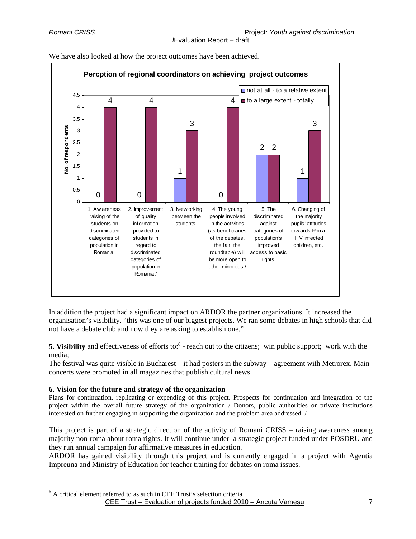

We have also looked at how the project outcomes have been achieved.

In addition the project had a significant impact on ARDOR the partner organizations. It increased the organisation's visibility. "this was one of our biggest projects. We ran some debates in high schools that did not have a debate club and now they are asking to establish one."

**5. Visibility** and effectiveness of efforts to:<sup>6</sup> - reach out to the citizens; win public support; work with the media;

The festival was quite visible in Bucharest – it had posters in the subway – agreement with Metrorex. Main concerts were promoted in all magazines that publish cultural news.

# **6. Vision for the future and strategy of the organization**

 $\overline{a}$ 

Plans for continuation, replicating or expending of this project. Prospects for continuation and integration of the project within the overall future strategy of the organization / Donors, public authorities or private institutions interested on further engaging in supporting the organization and the problem area addressed. /

This project is part of a strategic direction of the activity of Romani CRISS – raising awareness among majority non-roma about roma rights. It will continue under a strategic project funded under POSDRU and they run annual campaign for affirmative measures in education.

ARDOR has gained visibility through this project and is currently engaged in a project with Agentia Impreuna and Ministry of Education for teacher training for debates on roma issues.

CEE Trust – Evaluation of projects funded 2010 – Ancuta Vamesu 7 <sup>6</sup> A critical element referred to as such in CEE Trust's selection criteria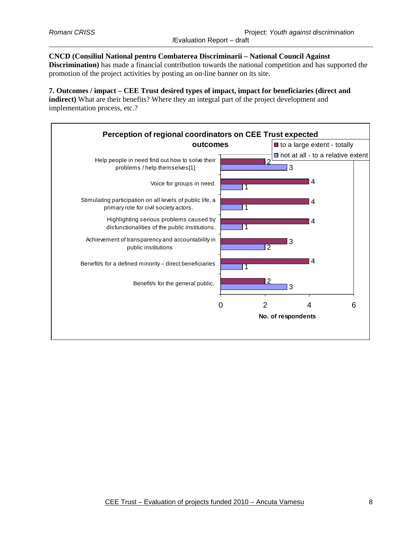### **CNCD (Consiliul National pentru Combaterea Discriminarii – National Council Against**

**Discrimination)** has made a financial contribution towards the national competition and has supported the promotion of the project activities by posting an on-line banner on its site.

**7. Outcomes / impact – CEE Trust desired types of impact, impact for beneficiaries (direct and indirect)** What are their benefits? Where they an integral part of the project development and implementation process, etc.?

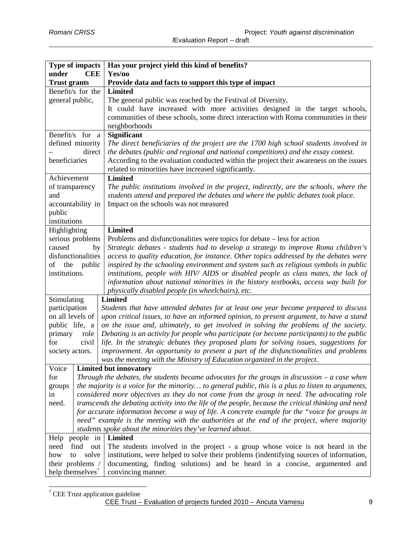$\overline{a}$ 

|                                                            | <b>Type of impacts</b>                                                                                                                                                                               | Has your project yield this kind of benefits?                                                                                                                                |
|------------------------------------------------------------|------------------------------------------------------------------------------------------------------------------------------------------------------------------------------------------------------|------------------------------------------------------------------------------------------------------------------------------------------------------------------------------|
| under                                                      | <b>CEE</b>                                                                                                                                                                                           | Yes/no                                                                                                                                                                       |
| <b>Trust grants</b>                                        |                                                                                                                                                                                                      | Provide data and facts to support this type of impact                                                                                                                        |
| Benefit/s for the                                          |                                                                                                                                                                                                      | <b>Limited</b>                                                                                                                                                               |
| general public,                                            |                                                                                                                                                                                                      | The general public was reached by the Festival of Diversity,                                                                                                                 |
|                                                            |                                                                                                                                                                                                      | It could have increased with more activities designed in the target schools,                                                                                                 |
|                                                            |                                                                                                                                                                                                      | communities of these schools, some direct interaction with Roma communities in their                                                                                         |
|                                                            |                                                                                                                                                                                                      | neighborhoods                                                                                                                                                                |
| Benefit/s for a                                            |                                                                                                                                                                                                      | <b>Significant</b>                                                                                                                                                           |
| defined minority                                           |                                                                                                                                                                                                      | The direct beneficiaries of the project are the 1700 high school students involved in                                                                                        |
| beneficiaries                                              | direct                                                                                                                                                                                               | the debates (public and regional and national competitions) and the essay contest.<br>According to the evaluation conducted within the project their awareness on the issues |
|                                                            |                                                                                                                                                                                                      | related to minorities have increased significantly.                                                                                                                          |
| Achievement                                                |                                                                                                                                                                                                      | <b>Limited</b>                                                                                                                                                               |
| of transparency                                            |                                                                                                                                                                                                      | The public institutions involved in the project, indirectly, are the schools, where the                                                                                      |
| and                                                        |                                                                                                                                                                                                      | students attend and prepared the debates and where the public debates took place.                                                                                            |
|                                                            | accountability in                                                                                                                                                                                    | Impact on the schools was not measured                                                                                                                                       |
| public                                                     |                                                                                                                                                                                                      |                                                                                                                                                                              |
| institutions                                               |                                                                                                                                                                                                      |                                                                                                                                                                              |
| Highlighting                                               |                                                                                                                                                                                                      | <b>Limited</b>                                                                                                                                                               |
| serious problems                                           |                                                                                                                                                                                                      | Problems and disfunctionalities were topics for debate – less for action                                                                                                     |
| caused                                                     | by                                                                                                                                                                                                   | Strategic debates - students had to develop a strategy to improve Roma children's                                                                                            |
|                                                            | disfunctionalities                                                                                                                                                                                   | access to quality education, for instance. Other topics addressed by the debates were                                                                                        |
| the<br>of                                                  | public                                                                                                                                                                                               | inspired by the schooling environment and system such as religious symbols in public                                                                                         |
| institutions.                                              |                                                                                                                                                                                                      | institutions, people with HIV/ AIDS or disabled people as class mates, the lack of                                                                                           |
|                                                            |                                                                                                                                                                                                      | information about national minorities in the history textbooks, access way built for                                                                                         |
|                                                            |                                                                                                                                                                                                      | physically disabled people (in wheelchairs), etc.                                                                                                                            |
| Stimulating                                                |                                                                                                                                                                                                      | <b>Limited</b>                                                                                                                                                               |
| participation                                              |                                                                                                                                                                                                      | Students that have attended debates for at least one year become prepared to discuss                                                                                         |
| on all levels of                                           |                                                                                                                                                                                                      | upon critical issues, to have an informed opinion, to present argument, to have a stand                                                                                      |
| public life, a                                             |                                                                                                                                                                                                      | on the issue and, ultimately, to get involved in solving the problems of the society.                                                                                        |
| primary                                                    | role                                                                                                                                                                                                 | Debating is an activity for people who participate (or become participants) to the public                                                                                    |
| for                                                        | civil                                                                                                                                                                                                | life. In the strategic debates they proposed plans for solving issues, suggestions for                                                                                       |
| society actors.                                            |                                                                                                                                                                                                      | improvement. An opportunity to present a part of the disfunctionalities and problems                                                                                         |
|                                                            |                                                                                                                                                                                                      | was the meeting with the Ministry of Education organized in the project.                                                                                                     |
| Voice                                                      |                                                                                                                                                                                                      | <b>Limited but innovatory</b>                                                                                                                                                |
| for                                                        |                                                                                                                                                                                                      | Through the debates, the students became advocates for the groups in discussion $-a$ case when                                                                               |
| groups                                                     | the majority is a voice for the minority to general public, this is a plus to listen to arguments,                                                                                                   |                                                                                                                                                                              |
| in                                                         |                                                                                                                                                                                                      | considered more objectives as they do not come from the group in need. The advocating role                                                                                   |
| need.                                                      |                                                                                                                                                                                                      | transcends the debating activity into the life of the people, because the critical thinking and need                                                                         |
|                                                            | for accurate information become a way of life. A concrete example for the "voice for groups in                                                                                                       |                                                                                                                                                                              |
|                                                            | need" example is the meeting with the authorities at the end of the project, where majority                                                                                                          |                                                                                                                                                                              |
| students spoke about the minorities they've learned about. |                                                                                                                                                                                                      |                                                                                                                                                                              |
| need                                                       | Help people in<br><b>Limited</b>                                                                                                                                                                     |                                                                                                                                                                              |
| how                                                        | The students involved in the project - a group whose voice is not heard in the<br>find out<br>institutions, were helped to solve their problems (indentifying sources of information,<br>solve<br>to |                                                                                                                                                                              |
| their problems /                                           |                                                                                                                                                                                                      | documenting, finding solutions) and be heard in a concise, argumented and                                                                                                    |
| help themselves <sup>7</sup>                               |                                                                                                                                                                                                      | convincing manner.                                                                                                                                                           |
|                                                            |                                                                                                                                                                                                      |                                                                                                                                                                              |

CEE Trust – Evaluation of projects funded 2010 – Ancuta Vamesu 9 <sup>7</sup> CEE Trust application guideline